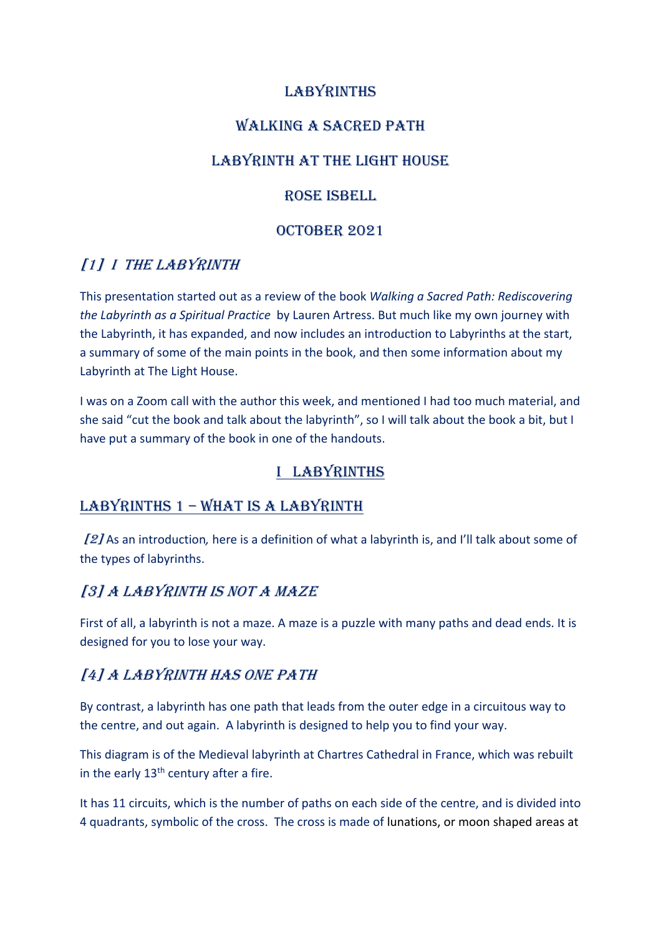#### LABYRINTHS

#### WALKING A SACRED PATH

#### LABYRINTH AT THE LIGHT HOUSE

#### ROSE ISBELL

#### OCTOBER 2021

#### [1] I THE LABYRINTH

This presentation started out as a review of the book *Walking a Sacred Path: Rediscovering the Labyrinth as a Spiritual Practice* by Lauren Artress. But much like my own journey with the Labyrinth, it has expanded, and now includes an introduction to Labyrinths at the start, a summary of some of the main points in the book, and then some information about my Labyrinth at The Light House.

I was on a Zoom call with the author this week, and mentioned I had too much material, and she said "cut the book and talk about the labyrinth", so I will talk about the book a bit, but I have put a summary of the book in one of the handouts.

#### I LABYRINTHS

#### LABYRINTHS 1 - WHAT IS A LABYRINTH

[2] As an introduction*,* here is a definition of what a labyrinth is, and I'll talk about some of the types of labyrinths.

#### [3] A LABYRINTH IS NOT A MAZE

First of all, a labyrinth is not a maze. A maze is a puzzle with many paths and dead ends. It is designed for you to lose your way.

#### [4] A LABYRINTH HAS ONE PATH

By contrast, a labyrinth has one path that leads from the outer edge in a circuitous way to the centre, and out again. A labyrinth is designed to help you to find your way.

This diagram is of the Medieval labyrinth at Chartres Cathedral in France, which was rebuilt in the early  $13<sup>th</sup>$  century after a fire.

It has 11 circuits, which is the number of paths on each side of the centre, and is divided into 4 quadrants, symbolic of the cross. The cross is made of lunations, or moon shaped areas at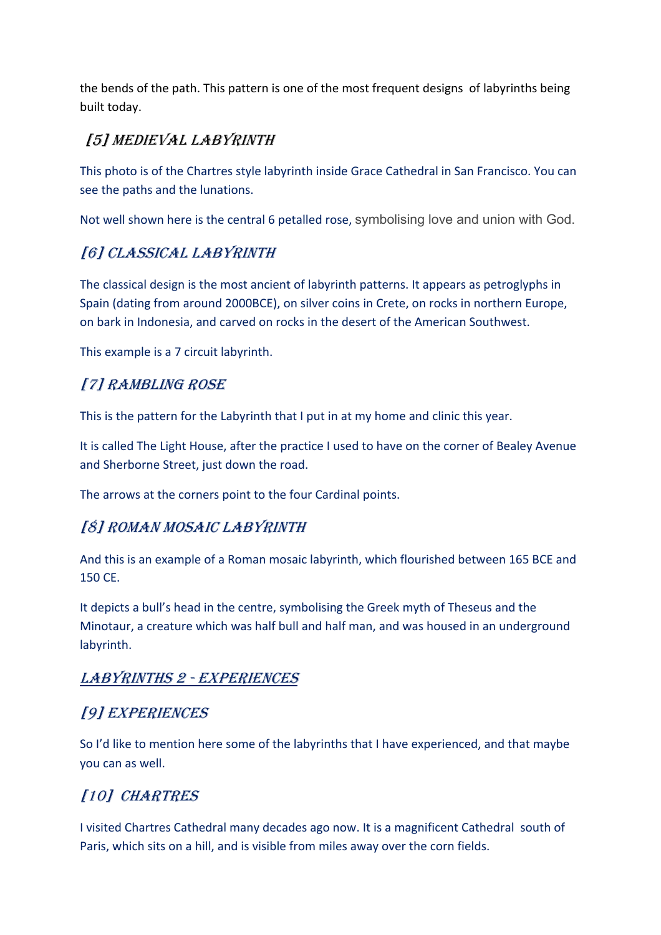the bends of the path. This pattern is one of the most frequent designs of labyrinths being built today.

## [5] MEDIEVAL LABYRINTH

This photo is of the Chartres style labyrinth inside Grace Cathedral in San Francisco. You can see the paths and the lunations.

Not well shown here is the central 6 petalled rose, symbolising love and union with God.

### [6] CLASSICAL LABYRINTH

The classical design is the most ancient of labyrinth patterns. It appears as petroglyphs in Spain (dating from around 2000BCE), on silver coins in Crete, on rocks in northern Europe, on bark in Indonesia, and carved on rocks in the desert of the American Southwest.

This example is a 7 circuit labyrinth.

## [7] RAMBLING ROSE

This is the pattern for the Labyrinth that I put in at my home and clinic this year.

It is called The Light House, after the practice I used to have on the corner of Bealey Avenue and Sherborne Street, just down the road.

The arrows at the corners point to the four Cardinal points.

#### [8] ROMAN MOSAIC LABYRINTH

And this is an example of a Roman mosaic labyrinth, which flourished between 165 BCE and 150 CE.

It depicts a bull's head in the centre, symbolising the Greek myth of Theseus and the Minotaur, a creature which was half bull and half man, and was housed in an underground labyrinth.

#### LABYRINTHS 2 - EXPERIENCES

#### [9] EXPERIENCES

So I'd like to mention here some of the labyrinths that I have experienced, and that maybe you can as well.

# [10] CHARTRES

I visited Chartres Cathedral many decades ago now. It is a magnificent Cathedral south of Paris, which sits on a hill, and is visible from miles away over the corn fields.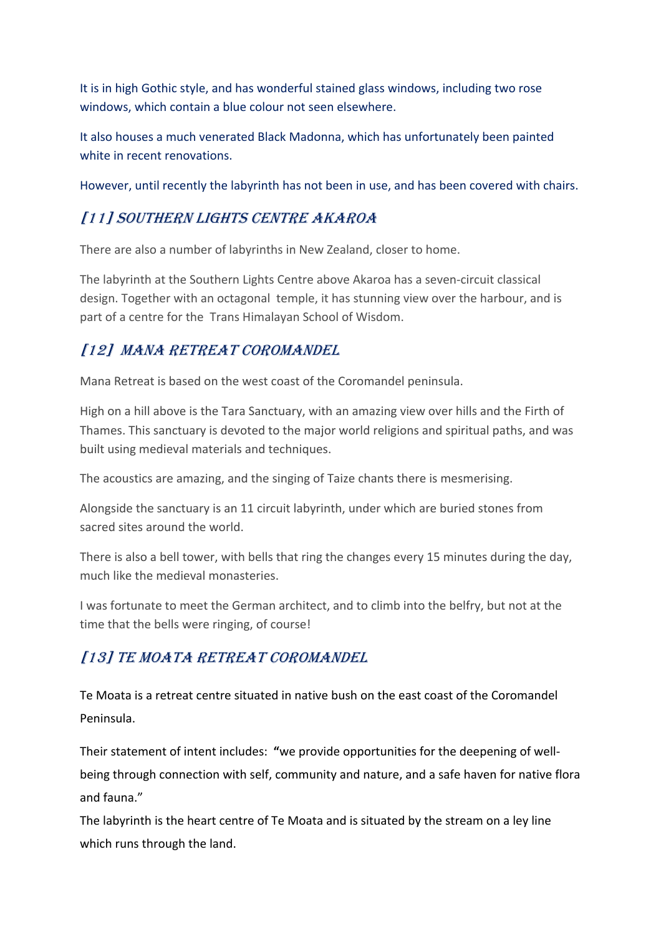It is in high Gothic style, and has wonderful stained glass windows, including two rose windows, which contain a blue colour not seen elsewhere.

It also houses a much venerated Black Madonna, which has unfortunately been painted white in recent renovations.

However, until recently the labyrinth has not been in use, and has been covered with chairs.

## [11] SOUTHERN LIGHTS CENTRE AKAROA

There are also a number of labyrinths in New Zealand, closer to home.

The labyrinth at the Southern Lights Centre above Akaroa has a seven-circuit classical design. Together with an octagonal temple, it has stunning view over the harbour, and is part of a centre for the Trans Himalayan School of Wisdom.

## [12] MANA RETREAT COROMANDEL

Mana Retreat is based on the west coast of the Coromandel peninsula.

High on a hill above is the Tara Sanctuary, with an amazing view over hills and the Firth of Thames. This sanctuary is devoted to the major world religions and spiritual paths, and was built using medieval materials and techniques.

The acoustics are amazing, and the singing of Taize chants there is mesmerising.

Alongside the sanctuary is an 11 circuit labyrinth, under which are buried stones from sacred sites around the world.

There is also a bell tower, with bells that ring the changes every 15 minutes during the day, much like the medieval monasteries.

I was fortunate to meet the German architect, and to climb into the belfry, but not at the time that the bells were ringing, of course!

## [13] TE MOATA RETREAT COROMANDEL

Te Moata is a retreat centre situated in native bush on the east coast of the Coromandel Peninsula.

Their statement of intent includes: **"**we provide opportunities for the deepening of wellbeing through connection with self, community and nature, and a safe haven for native flora and fauna."

The labyrinth is the heart centre of Te Moata and is situated by the stream on a ley line which runs through the land.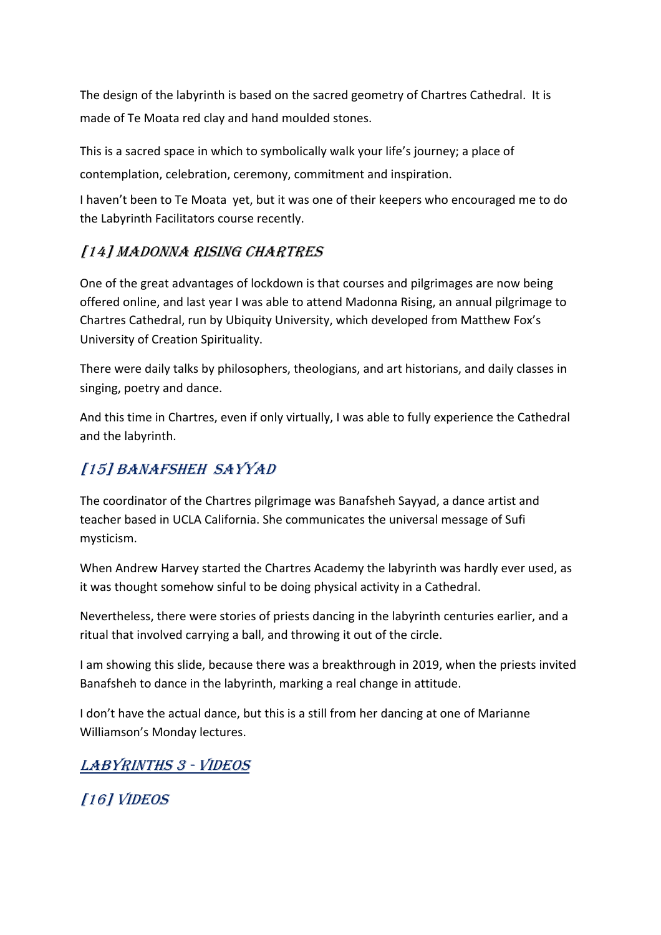The design of the labyrinth is based on the sacred geometry of Chartres Cathedral. It is made of Te Moata red clay and hand moulded stones.

This is a sacred space in which to symbolically walk your life's journey; a place of contemplation, celebration, ceremony, commitment and inspiration.

I haven't been to Te Moata yet, but it was one of their keepers who encouraged me to do the Labyrinth Facilitators course recently.

#### [14] MADONNA RISING CHARTRES

One of the great advantages of lockdown is that courses and pilgrimages are now being offered online, and last year I was able to attend Madonna Rising, an annual pilgrimage to Chartres Cathedral, run by Ubiquity University, which developed from Matthew Fox's University of Creation Spirituality.

There were daily talks by philosophers, theologians, and art historians, and daily classes in singing, poetry and dance.

And this time in Chartres, even if only virtually, I was able to fully experience the Cathedral and the labyrinth.

### [15] BANAFSHEH SAYYAD

The coordinator of the Chartres pilgrimage was Banafsheh Sayyad, a dance artist and teacher based in UCLA California. She communicates the universal message of Sufi mysticism.

When Andrew Harvey started the Chartres Academy the labyrinth was hardly ever used, as it was thought somehow sinful to be doing physical activity in a Cathedral.

Nevertheless, there were stories of priests dancing in the labyrinth centuries earlier, and a ritual that involved carrying a ball, and throwing it out of the circle.

I am showing this slide, because there was a breakthrough in 2019, when the priests invited Banafsheh to dance in the labyrinth, marking a real change in attitude.

I don't have the actual dance, but this is a still from her dancing at one of Marianne Williamson's Monday lectures.

LABYRINTHS 3 - VIDEOS

[16] VIDEOS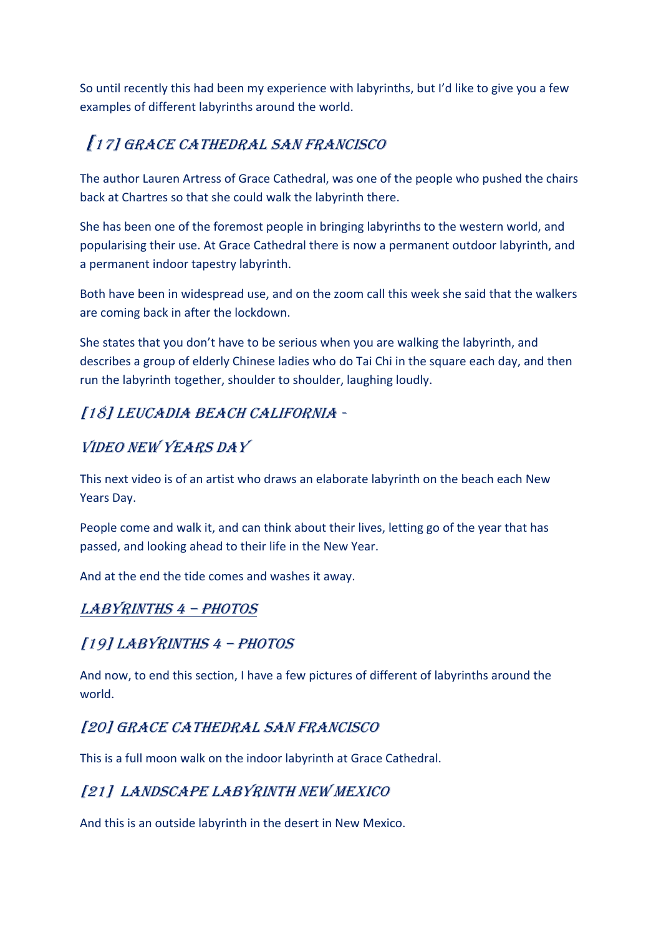So until recently this had been my experience with labyrinths, but I'd like to give you a few examples of different labyrinths around the world.

# [17] GRACE CATHEDRAL SAN FRANCISCO

The author Lauren Artress of Grace Cathedral, was one of the people who pushed the chairs back at Chartres so that she could walk the labyrinth there.

She has been one of the foremost people in bringing labyrinths to the western world, and popularising their use. At Grace Cathedral there is now a permanent outdoor labyrinth, and a permanent indoor tapestry labyrinth.

Both have been in widespread use, and on the zoom call this week she said that the walkers are coming back in after the lockdown.

She states that you don't have to be serious when you are walking the labyrinth, and describes a group of elderly Chinese ladies who do Tai Chi in the square each day, and then run the labyrinth together, shoulder to shoulder, laughing loudly.

#### [18] LEUCADIA BEACH CALIFORNIA -

### VIDEO NEW YEARS DAY

This next video is of an artist who draws an elaborate labyrinth on the beach each New Years Day.

People come and walk it, and can think about their lives, letting go of the year that has passed, and looking ahead to their life in the New Year.

And at the end the tide comes and washes it away.

#### LABYRINTHS 4 - PHOTOS

#### $[19]$  LABYRINTHS  $4$  - PHOTOS

And now, to end this section, I have a few pictures of different of labyrinths around the world.

#### [20] GRACE CATHEDRAL SAN FRANCISCO

This is a full moon walk on the indoor labyrinth at Grace Cathedral.

#### [21] LANDSCAPE LABYRINTH NEW MEXICO

And this is an outside labyrinth in the desert in New Mexico.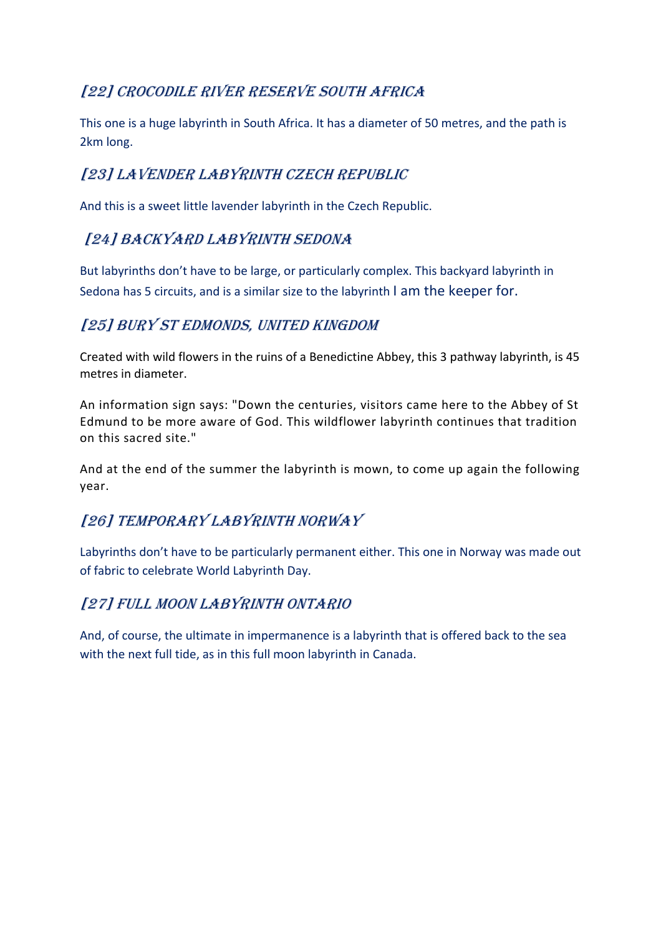## [22] CROCODILE RIVER RESERVE SOUTH AFRICA

This one is a huge labyrinth in South Africa. It has a diameter of 50 metres, and the path is 2km long.

## [23] LAVENDER LABYRINTH CZECH REPUBLIC

And this is a sweet little lavender labyrinth in the Czech Republic.

### [24] BACKYARD LABYRINTH SEDONA

But labyrinths don't have to be large, or particularly complex. This backyard labyrinth in Sedona has 5 circuits, and is a similar size to the labyrinth I am the keeper for.

### [25] BURY ST EDMONDS, UNITED KINGDOM

Created with wild flowers in the ruins of a Benedictine Abbey, this 3 pathway labyrinth, is 45 metres in diameter.

An information sign says: "Down the centuries, visitors came here to the Abbey of St Edmund to be more aware of God. This wildflower labyrinth continues that tradition on this sacred site."

And at the end of the summer the labyrinth is mown, to come up again the following year.

## [26] TEMPORARY LABYRINTH NORWAY

Labyrinths don't have to be particularly permanent either. This one in Norway was made out of fabric to celebrate World Labyrinth Day.

#### [27] FULL MOON LABYRINTH ONTARIO

And, of course, the ultimate in impermanence is a labyrinth that is offered back to the sea with the next full tide, as in this full moon labyrinth in Canada.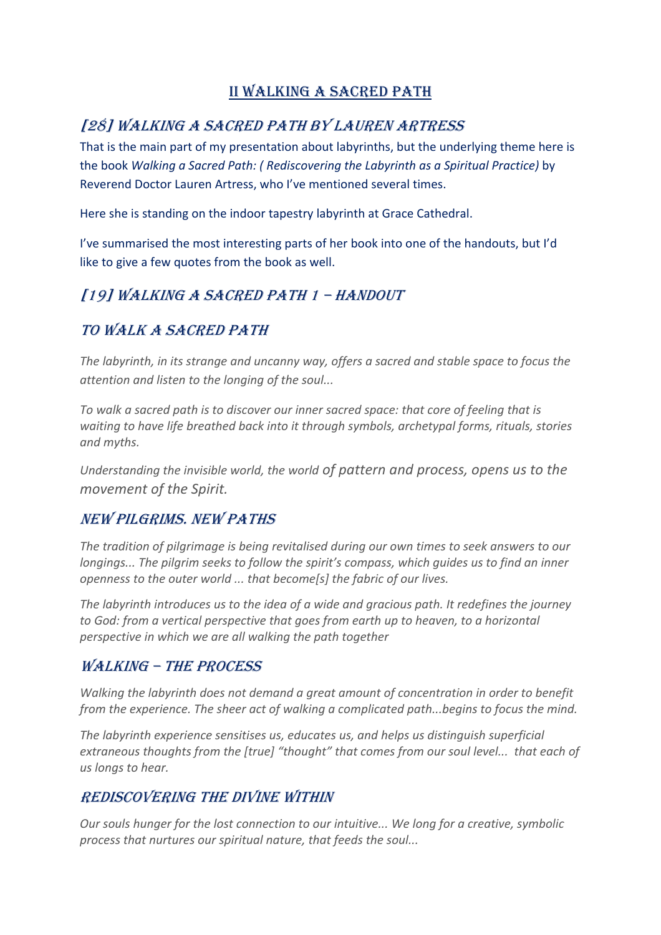### II WALKING A SACRED PATH

### [28] WALKING A SACRED PATH BY LAUREN ARTRESS

That is the main part of my presentation about labyrinths, but the underlying theme here is the book *Walking a Sacred Path: ( Rediscovering the Labyrinth as a Spiritual Practice)* by Reverend Doctor Lauren Artress, who I've mentioned several times.

Here she is standing on the indoor tapestry labyrinth at Grace Cathedral.

I've summarised the most interesting parts of her book into one of the handouts, but I'd like to give a few quotes from the book as well.

#### [19] WALKING A SACRED PATH 1 - HANDOUT

#### TO WALK A SACRED PATH

*The labyrinth, in its strange and uncanny way, offers a sacred and stable space to focus the attention and listen to the longing of the soul...*

*To walk a sacred path is to discover our inner sacred space: that core of feeling that is waiting to have life breathed back into it through symbols, archetypal forms, rituals, stories and myths.* 

*Understanding the invisible world, the world of pattern and process, opens us to the movement of the Spirit.*

#### NEW PILGRIMS. NEW PATHS

*The tradition of pilgrimage is being revitalised during our own times to seek answers to our longings... The pilgrim seeks to follow the spirit's compass, which guides us to find an inner openness to the outer world ... that become[s] the fabric of our lives.*

*The labyrinth introduces us to the idea of a wide and gracious path. It redefines the journey to God: from a vertical perspective that goes from earth up to heaven, to a horizontal perspective in which we are all walking the path together*

#### WALKING - THE PROCESS

*Walking the labyrinth does not demand a great amount of concentration in order to benefit from the experience. The sheer act of walking a complicated path...begins to focus the mind.* 

*The labyrinth experience sensitises us, educates us, and helps us distinguish superficial extraneous thoughts from the [true] "thought" that comes from our soul level... that each of us longs to hear.*

#### REDISCOVERING THE DIVINE WITHIN

*Our souls hunger for the lost connection to our intuitive... We long for a creative, symbolic process that nurtures our spiritual nature, that feeds the soul...*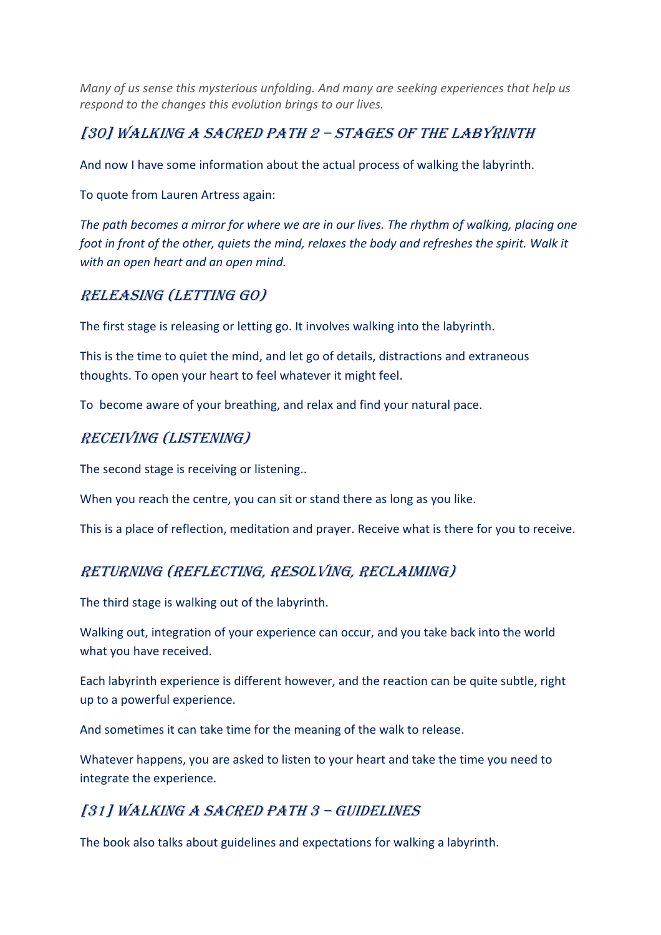*Many of us sense this mysterious unfolding. And many are seeking experiences that help us respond to the changes this evolution brings to our lives.*

#### [30] WALKING A SACRED PATH 2 - STAGES OF THE LABYRINTH

And now I have some information about the actual process of walking the labyrinth.

To quote from Lauren Artress again:

*The path becomes a mirror for where we are in our lives. The rhythm of walking, placing one foot in front of the other, quiets the mind, relaxes the body and refreshes the spirit. Walk it with an open heart and an open mind.*

#### RELEASING (LETTING GO)

The first stage is releasing or letting go. It involves walking into the labyrinth.

This is the time to quiet the mind, and let go of details, distractions and extraneous thoughts. To open your heart to feel whatever it might feel.

To become aware of your breathing, and relax and find your natural pace.

#### RECEIVING (LISTENING)

The second stage is receiving or listening..

When you reach the centre, you can sit or stand there as long as you like.

This is a place of reflection, meditation and prayer. Receive what is there for you to receive.

#### RETURNING (REFLECTING, RESOLVING, RECLAIMING)

The third stage is walking out of the labyrinth.

Walking out, integration of your experience can occur, and you take back into the world what you have received.

Each labyrinth experience is different however, and the reaction can be quite subtle, right up to a powerful experience.

And sometimes it can take time for the meaning of the walk to release.

Whatever happens, you are asked to listen to your heart and take the time you need to integrate the experience.

## [31] WALKING A SACRED PATH 3 - GUIDELINES

The book also talks about guidelines and expectations for walking a labyrinth.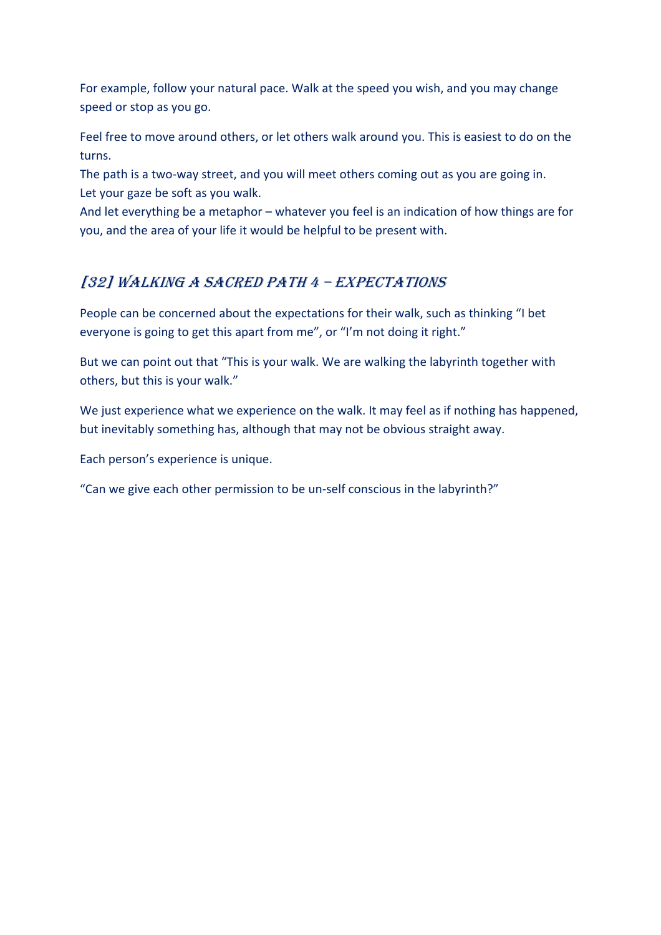For example, follow your natural pace. Walk at the speed you wish, and you may change speed or stop as you go.

Feel free to move around others, or let others walk around you. This is easiest to do on the turns.

The path is a two-way street, and you will meet others coming out as you are going in. Let your gaze be soft as you walk.

And let everything be a metaphor – whatever you feel is an indication of how things are for you, and the area of your life it would be helpful to be present with.

### [32] WALKING A SACRED PATH 4 - EXPECTATIONS

People can be concerned about the expectations for their walk, such as thinking "I bet everyone is going to get this apart from me", or "I'm not doing it right."

But we can point out that "This is your walk. We are walking the labyrinth together with others, but this is your walk."

We just experience what we experience on the walk. It may feel as if nothing has happened, but inevitably something has, although that may not be obvious straight away.

Each person's experience is unique.

"Can we give each other permission to be un-self conscious in the labyrinth?"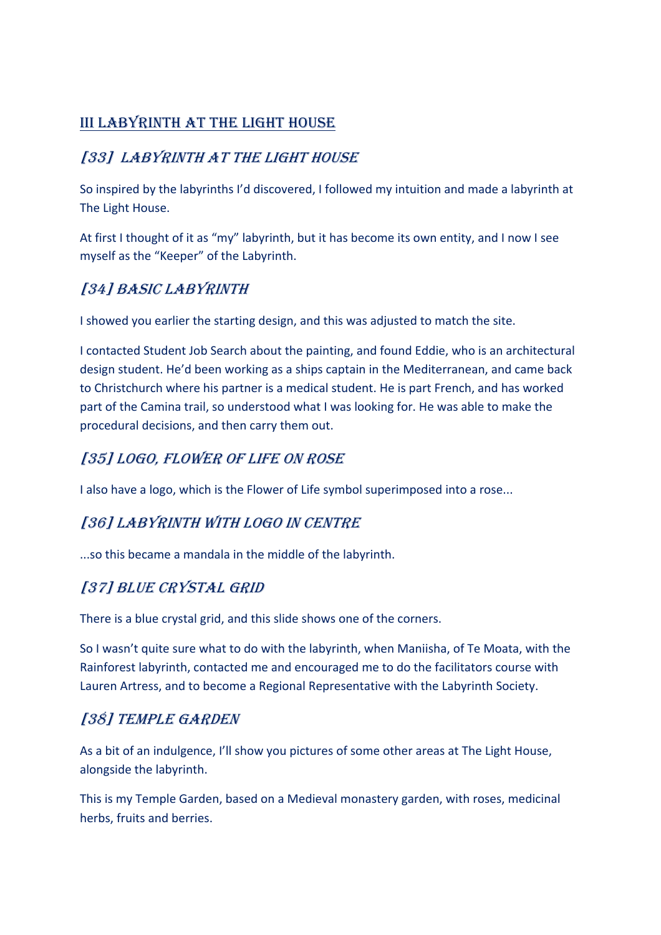### III LABYRINTH AT THE LIGHT HOUSE

### [33] LABYRINTH AT THE LIGHT HOUSE

So inspired by the labyrinths I'd discovered, I followed my intuition and made a labyrinth at The Light House.

At first I thought of it as "my" labyrinth, but it has become its own entity, and I now I see myself as the "Keeper" of the Labyrinth.

### [34] BASIC LABYRINTH

I showed you earlier the starting design, and this was adjusted to match the site.

I contacted Student Job Search about the painting, and found Eddie, who is an architectural design student. He'd been working as a ships captain in the Mediterranean, and came back to Christchurch where his partner is a medical student. He is part French, and has worked part of the Camina trail, so understood what I was looking for. He was able to make the procedural decisions, and then carry them out.

#### [35] LOGO, FLOWER OF LIFE ON ROSE

I also have a logo, which is the Flower of Life symbol superimposed into a rose...

## [36] LABYRINTH WITH LOGO IN CENTRE

...so this became a mandala in the middle of the labyrinth.

#### [37] BLUE CRYSTAL GRID

There is a blue crystal grid, and this slide shows one of the corners.

So I wasn't quite sure what to do with the labyrinth, when Maniisha, of Te Moata, with the Rainforest labyrinth, contacted me and encouraged me to do the facilitators course with Lauren Artress, and to become a Regional Representative with the Labyrinth Society.

#### [38] TEMPLE GARDEN

As a bit of an indulgence, I'll show you pictures of some other areas at The Light House, alongside the labyrinth.

This is my Temple Garden, based on a Medieval monastery garden, with roses, medicinal herbs, fruits and berries.